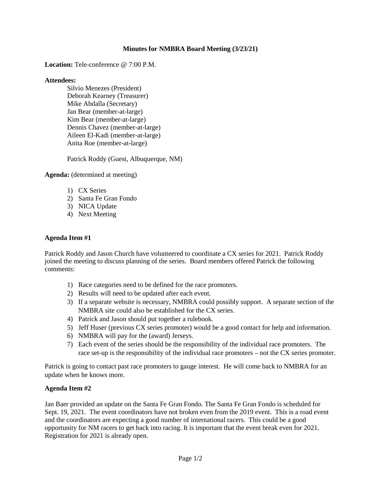### **Minutes for NMBRA Board Meeting (3/23/21)**

**Location:** Tele-conference @ 7:00 P.M.

#### **Attendees:**

Silvio Menezes (President) Deborah Kearney (Treasurer) Mike Abdalla (Secretary) Jan Bear (member-at-large) Kim Bear (member-at-large) Dennis Chavez (member-at-large) Aileen El-Kadi (member-at-large) Anita Roe (member-at-large)

Patrick Roddy (Guest, Albuquerque, NM)

**Agenda:** (determined at meeting)

- 1) CX Series
- 2) Santa Fe Gran Fondo
- 3) NICA Update
- 4) Next Meeting

### **Agenda Item #1**

Patrick Roddy and Jason Church have volunteered to coordinate a CX series for 2021. Patrick Roddy joined the meeting to discuss planning of the series. Board members offered Patrick the following comments:

- 1) Race categories need to be defined for the race promoters.
- 2) Results will need to be updated after each event.
- 3) If a separate website is necessary, NMBRA could possibly support. A separate section of the NMBRA site could also be established for the CX series.
- 4) Patrick and Jason should put together a rulebook.
- 5) Jeff Huser (previous CX series promoter) would be a good contact for help and information.
- 6) NMBRA will pay for the (award) Jerseys.
- 7) Each event of the series should be the responsibility of the individual race promoters. The race set-up is the responsibility of the individual race promoters – not the CX series promoter.

Patrick is going to contact past race promoters to gauge interest. He will come back to NMBRA for an update when he knows more.

### **Agenda Item #2**

Jan Baer provided an update on the Santa Fe Gran Fondo. The Santa Fe Gran Fondo is scheduled for Sept. 19, 2021. The event coordinators have not broken even from the 2019 event. This is a road event and the coordinators are expecting a good number of international racers. This could be a good opportunity for NM racers to get back into racing. It is important that the event break even for 2021. Registration for 2021 is already open.